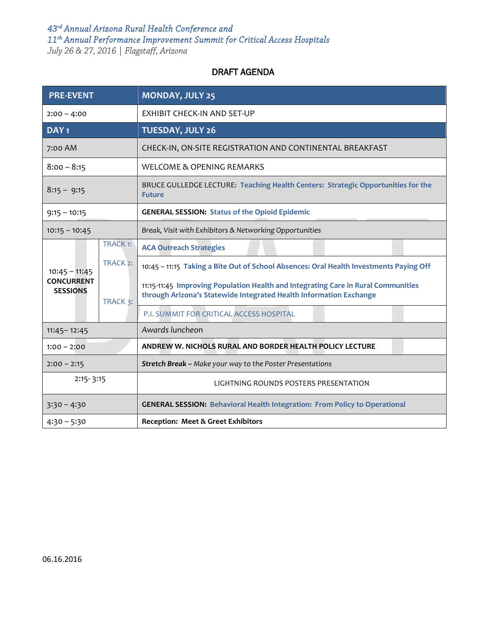## *43rd Annual Arizona Rural Health Conference and 11th Annual Performance Improvement Summit for Critical Access Hospitals July 26 & 27, 2016 | Flagstaff, Arizona*

DRAFT AGENDA

| <b>PRE-EVENT</b>                                        |                      | <b>MONDAY, JULY 25</b>                                                                                                                                  |
|---------------------------------------------------------|----------------------|---------------------------------------------------------------------------------------------------------------------------------------------------------|
| $2:00 - 4:00$                                           |                      | <b>EXHIBIT CHECK-IN AND SET-UP</b>                                                                                                                      |
| DAY <sub>1</sub>                                        |                      | <b>TUESDAY, JULY 26</b>                                                                                                                                 |
| 7:00 AM                                                 |                      | CHECK-IN, ON-SITE REGISTRATION AND CONTINENTAL BREAKFAST                                                                                                |
| $8:00 - 8:15$                                           |                      | WELCOME & OPENING REMARKS                                                                                                                               |
| $8:15 - 9:15$                                           |                      | BRUCE GULLEDGE LECTURE: Teaching Health Centers: Strategic Opportunities for the<br><b>Future</b>                                                       |
| $9:15 - 10:15$                                          |                      | <b>GENERAL SESSION: Status of the Opioid Epidemic</b>                                                                                                   |
| $10:15 - 10:45$                                         |                      | Break, Visit with Exhibitors & Networking Opportunities                                                                                                 |
| $10:45 - 11:45$<br><b>CONCURRENT</b><br><b>SESSIONS</b> | <b>TRACK 1:</b>      | <b>ACA Outreach Strategies</b>                                                                                                                          |
|                                                         | TRACK <sub>2</sub> : | 10:45 - 11:15 Taking a Bite Out of School Absences: Oral Health Investments Paying Off                                                                  |
|                                                         | TRACK 3:             | 11:15-11:45 Improving Population Health and Integrating Care in Rural Communities<br>through Arizona's Statewide Integrated Health Information Exchange |
|                                                         |                      | P.I. SUMMIT FOR CRITICAL ACCESS HOSPITAL                                                                                                                |
| $11:45 - 12:45$                                         |                      | Awards luncheon                                                                                                                                         |
| $1:00 - 2:00$                                           |                      | ANDREW W. NICHOLS RURAL AND BORDER HEALTH POLICY LECTURE                                                                                                |
| $2:00 - 2:15$                                           |                      | Stretch Break - Make your way to the Poster Presentations                                                                                               |
| $2:15 - 3:15$                                           |                      | LIGHTNING ROUNDS POSTERS PRESENTATION                                                                                                                   |
| $3:30 - 4:30$                                           |                      | <b>GENERAL SESSION: Behavioral Health Integration: From Policy to Operational</b>                                                                       |
| $4:30 - 5:30$                                           |                      | <b>Reception: Meet &amp; Greet Exhibitors</b>                                                                                                           |